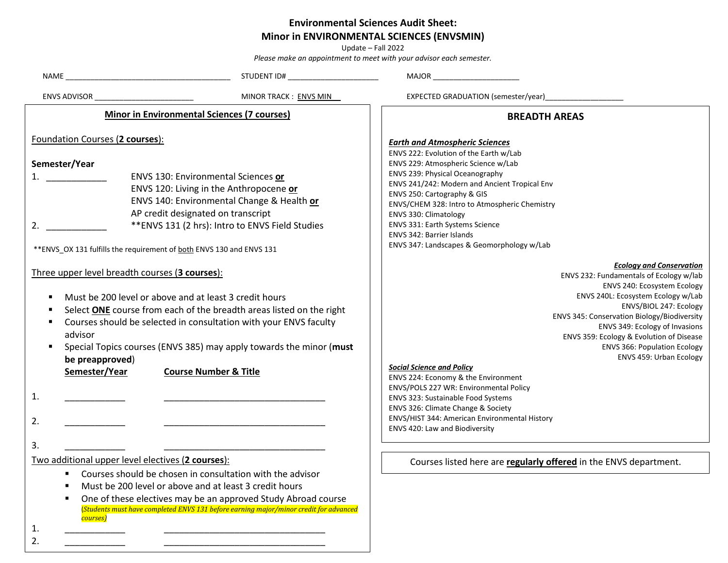## **Environmental Sciences Audit Sheet:**

## **Minor in ENVIRONMENTAL SCIENCES (ENVSMIN)**

Update – Fall 2022 *Please make an appointment to meet with your advisor each semester.*

|                                                                                                                                                                                                                                                                                                                                                                                                                                     | STUDENT ID# _________________________                                                                                                                                                                                                                                         | <b>MAJOR MAJOR</b>                                                                                                                                                                                                                                                                                                                                                                                                                                                                                                                                                                                                   |  |
|-------------------------------------------------------------------------------------------------------------------------------------------------------------------------------------------------------------------------------------------------------------------------------------------------------------------------------------------------------------------------------------------------------------------------------------|-------------------------------------------------------------------------------------------------------------------------------------------------------------------------------------------------------------------------------------------------------------------------------|----------------------------------------------------------------------------------------------------------------------------------------------------------------------------------------------------------------------------------------------------------------------------------------------------------------------------------------------------------------------------------------------------------------------------------------------------------------------------------------------------------------------------------------------------------------------------------------------------------------------|--|
| MINOR TRACK : ENVS MIN<br>ENVS ADVISOR                                                                                                                                                                                                                                                                                                                                                                                              |                                                                                                                                                                                                                                                                               | EXPECTED GRADUATION (semester/year)                                                                                                                                                                                                                                                                                                                                                                                                                                                                                                                                                                                  |  |
| <b>Minor in Environmental Sciences (7 courses)</b>                                                                                                                                                                                                                                                                                                                                                                                  |                                                                                                                                                                                                                                                                               | <b>BREADTH AREAS</b>                                                                                                                                                                                                                                                                                                                                                                                                                                                                                                                                                                                                 |  |
| Foundation Courses (2 courses):<br>Semester/Year<br>ENVS 130: Environmental Sciences or<br>$1.$ $\qquad \qquad$<br>ENVS 120: Living in the Anthropocene or<br>ENVS 140: Environmental Change & Health or<br>AP credit designated on transcript<br>** ENVS 131 (2 hrs): Intro to ENVS Field Studies<br>2.<br>** ENVS_OX 131 fulfills the requirement of both ENVS 130 and ENVS 131<br>Three upper level breadth courses (3 courses): |                                                                                                                                                                                                                                                                               | <b>Earth and Atmospheric Sciences</b><br>ENVS 222: Evolution of the Earth w/Lab<br>ENVS 229: Atmospheric Science w/Lab<br>ENVS 239: Physical Oceanography<br>ENVS 241/242: Modern and Ancient Tropical Env<br>ENVS 250: Cartography & GIS<br>ENVS/CHEM 328: Intro to Atmospheric Chemistry<br>ENVS 330: Climatology<br>ENVS 331: Earth Systems Science<br><b>ENVS 342: Barrier Islands</b><br>ENVS 347: Landscapes & Geomorphology w/Lab<br><b>Ecology and Conservation</b><br>ENVS 232: Fundamentals of Ecology w/lab<br>ENVS 240: Ecosystem Ecology                                                                |  |
| Must be 200 level or above and at least 3 credit hours<br>advisor<br>be preapproved)<br>Semester/Year<br>1.<br>2.<br>3.<br>Two additional upper level electives (2 courses):                                                                                                                                                                                                                                                        | Select ONE course from each of the breadth areas listed on the right<br>Courses should be selected in consultation with your ENVS faculty<br>Special Topics courses (ENVS 385) may apply towards the minor (must<br><b>Course Number &amp; Title</b>                          | ENVS 240L: Ecosystem Ecology w/Lab<br>ENVS/BIOL 247: Ecology<br>ENVS 345: Conservation Biology/Biodiversity<br>ENVS 349: Ecology of Invasions<br>ENVS 359: Ecology & Evolution of Disease<br><b>ENVS 366: Population Ecology</b><br>ENVS 459: Urban Ecology<br><b>Social Science and Policy</b><br>ENVS 224: Economy & the Environment<br>ENVS/POLS 227 WR: Environmental Policy<br>ENVS 323: Sustainable Food Systems<br>ENVS 326: Climate Change & Society<br>ENVS/HIST 344: American Environmental History<br>ENVS 420: Law and Biodiversity<br>Courses listed here are regularly offered in the ENVS department. |  |
| ٠<br>п<br>$\blacksquare$<br>courses)<br>1.<br>2.                                                                                                                                                                                                                                                                                                                                                                                    | Courses should be chosen in consultation with the advisor<br>Must be 200 level or above and at least 3 credit hours<br>One of these electives may be an approved Study Abroad course<br>(Students must have completed ENVS 131 before earning major/minor credit for advanced |                                                                                                                                                                                                                                                                                                                                                                                                                                                                                                                                                                                                                      |  |